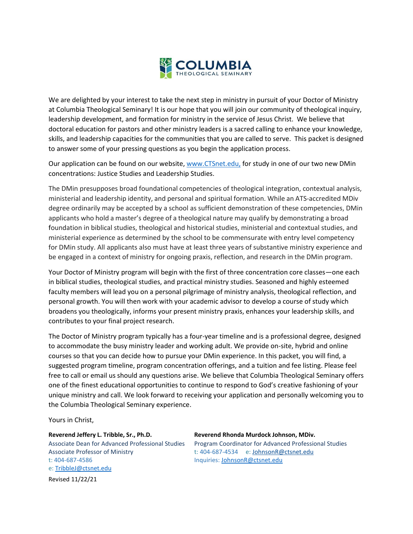

We are delighted by your interest to take the next step in ministry in pursuit of your Doctor of Ministry at Columbia Theological Seminary! It is our hope that you will join our community of theological inquiry, leadership development, and formation for ministry in the service of Jesus Christ. We believe that doctoral education for pastors and other ministry leaders is a sacred calling to enhance your knowledge, skills, and leadership capacities for the communities that you are called to serve. This packet is designed to answer some of your pressing questions as you begin the application process.

Our application can be found on our website[, www.CTSnet.edu,](http://www.ctsnet.edu/) for study in one of our two new DMin concentrations: Justice Studies and Leadership Studies.

The DMin presupposes broad foundational competencies of theological integration, contextual analysis, ministerial and leadership identity, and personal and spiritual formation. While an ATS-accredited MDiv degree ordinarily may be accepted by a school as sufficient demonstration of these competencies, DMin applicants who hold a master's degree of a theological nature may qualify by demonstrating a broad foundation in biblical studies, theological and historical studies, ministerial and contextual studies, and ministerial experience as determined by the school to be commensurate with entry level competency for DMin study. All applicants also must have at least three years of substantive ministry experience and be engaged in a context of ministry for ongoing praxis, reflection, and research in the DMin program.

Your Doctor of Ministry program will begin with the first of three concentration core classes—one each in biblical studies, theological studies, and practical ministry studies. Seasoned and highly esteemed faculty members will lead you on a personal pilgrimage of ministry analysis, theological reflection, and personal growth. You will then work with your academic advisor to develop a course of study which broadens you theologically, informs your present ministry praxis, enhances your leadership skills, and contributes to your final project research.

The Doctor of Ministry program typically has a four-year timeline and is a professional degree, designed to accommodate the busy ministry leader and working adult. We provide on-site, hybrid and online courses so that you can decide how to pursue your DMin experience. In this packet, you will find, a suggested program timeline, program concentration offerings, and a tuition and fee listing. Please feel free to call or email us should any questions arise. We believe that Columbia Theological Seminary offers one of the finest educational opportunities to continue to respond to God's creative fashioning of your unique ministry and call. We look forward to receiving your application and personally welcoming you to the Columbia Theological Seminary experience.

Yours in Christ,

Associate Professor of Ministry the total to the the 404-687-4534 e: [JohnsonR@ctsnet.edu](mailto:JohnsonR@ctsnet.edu) t: 404-687-4586 Inquiries: [JohnsonR@ctsnet.edu](mailto:JohnsonR@ctsnet.edu)  e: [TribbleJ@ctsnet.edu](mailto:TribbleJ@ctsnet.edu)

**Reverend Jeffery L. Tribble, Sr., Ph.D. Reverend Rhonda Murdock Johnson, MDiv.** Associate Dean for Advanced Professional Studies Program Coordinator for Advanced Professional Studies

Revised 11/22/21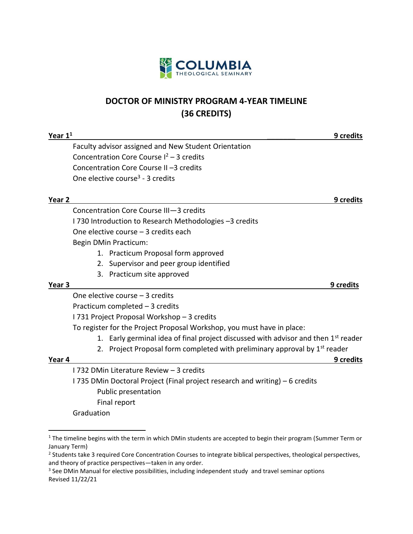

### **DOCTOR OF MINISTRY PROGRAM 4-YEAR TIMELINE (36 CREDITS)**

| Year $11$         |                                                                                                | 9 credits |
|-------------------|------------------------------------------------------------------------------------------------|-----------|
|                   | Faculty advisor assigned and New Student Orientation                                           |           |
|                   | Concentration Core Course $I^2$ – 3 credits                                                    |           |
|                   | Concentration Core Course II-3 credits                                                         |           |
|                   | One elective course <sup>3</sup> - 3 credits                                                   |           |
| Year 2            |                                                                                                | 9 credits |
|                   | Concentration Core Course III-3 credits                                                        |           |
|                   | I 730 Introduction to Research Methodologies -3 credits                                        |           |
|                   | One elective course - 3 credits each                                                           |           |
|                   | <b>Begin DMin Practicum:</b>                                                                   |           |
|                   | 1. Practicum Proposal form approved                                                            |           |
|                   | 2. Supervisor and peer group identified                                                        |           |
|                   | 3. Practicum site approved                                                                     |           |
| Year <sub>3</sub> |                                                                                                | 9 credits |
|                   | One elective course - 3 credits                                                                |           |
|                   | Practicum completed - 3 credits                                                                |           |
|                   | I 731 Project Proposal Workshop - 3 credits                                                    |           |
|                   | To register for the Project Proposal Workshop, you must have in place:                         |           |
|                   | 1. Early germinal idea of final project discussed with advisor and then 1 <sup>st</sup> reader |           |
|                   | 2. Project Proposal form completed with preliminary approval by 1 <sup>st</sup> reader         |           |
| Year 4            |                                                                                                | 9 credits |
|                   | 1732 DMin Literature Review - 3 credits                                                        |           |
|                   | I 735 DMin Doctoral Project (Final project research and writing) – 6 credits                   |           |
|                   | Public presentation                                                                            |           |
|                   | Final report                                                                                   |           |
|                   | Graduation                                                                                     |           |
|                   |                                                                                                |           |

<sup>&</sup>lt;sup>1</sup> The timeline begins with the term in which DMin students are accepted to begin their program (Summer Term or January Term)

<sup>&</sup>lt;sup>2</sup> Students take 3 required Core Concentration Courses to integrate biblical perspectives, theological perspectives, and theory of practice perspectives—taken in any order.

Revised 11/22/21  $3$  See DMin Manual for elective possibilities, including independent study and travel seminar options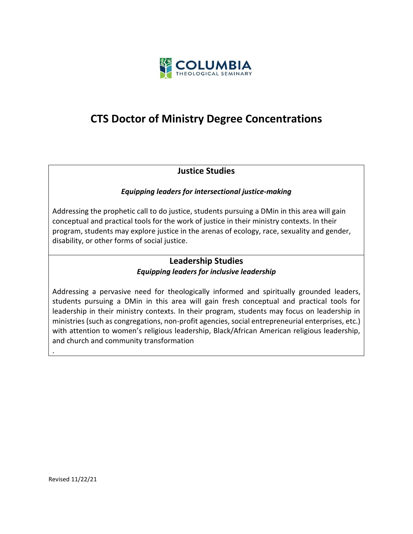

## **CTS Doctor of Ministry Degree Concentrations**

### **Justice Studies**

#### *Equipping leaders for intersectional justice-making*

Addressing the prophetic call to do justice, students pursuing a DMin in this area will gain conceptual and practical tools for the work of justice in their ministry contexts. In their program, students may explore justice in the arenas of ecology, race, sexuality and gender, disability, or other forms of social justice.

#### **Leadership Studies** *Equipping leaders for inclusive leadership*

Addressing a pervasive need for theologically informed and spiritually grounded leaders, students pursuing a DMin in this area will gain fresh conceptual and practical tools for leadership in their ministry contexts. In their program, students may focus on leadership in ministries (such as congregations, non-profit agencies, social entrepreneurial enterprises, etc.) with attention to women's religious leadership, Black/African American religious leadership, and church and community transformation

.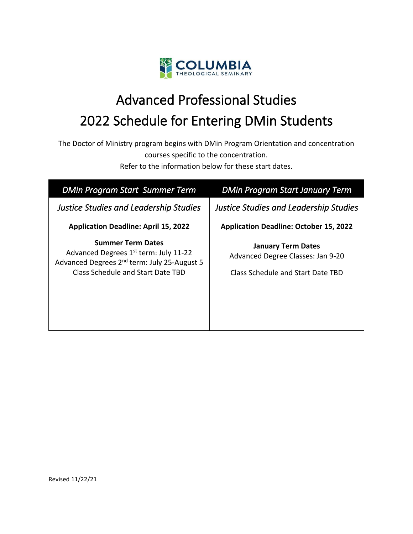

# Advanced Professional Studies 2022 Schedule for Entering DMin Students

The Doctor of Ministry program begins with DMin Program Orientation and concentration courses specific to the concentration.

Refer to the information below for these start dates.

| <b>DMin Program Start Summer Term</b>                                                                                                                                         | <b>DMin Program Start January Term</b>                                                              |
|-------------------------------------------------------------------------------------------------------------------------------------------------------------------------------|-----------------------------------------------------------------------------------------------------|
| <b>Justice Studies and Leadership Studies</b>                                                                                                                                 | <b>Justice Studies and Leadership Studies</b>                                                       |
| <b>Application Deadline: April 15, 2022</b>                                                                                                                                   | <b>Application Deadline: October 15, 2022</b>                                                       |
| <b>Summer Term Dates</b><br>Advanced Degrees 1 <sup>st</sup> term: July 11-22<br>Advanced Degrees 2 <sup>nd</sup> term: July 25-August 5<br>Class Schedule and Start Date TBD | <b>January Term Dates</b><br>Advanced Degree Classes: Jan 9-20<br>Class Schedule and Start Date TBD |